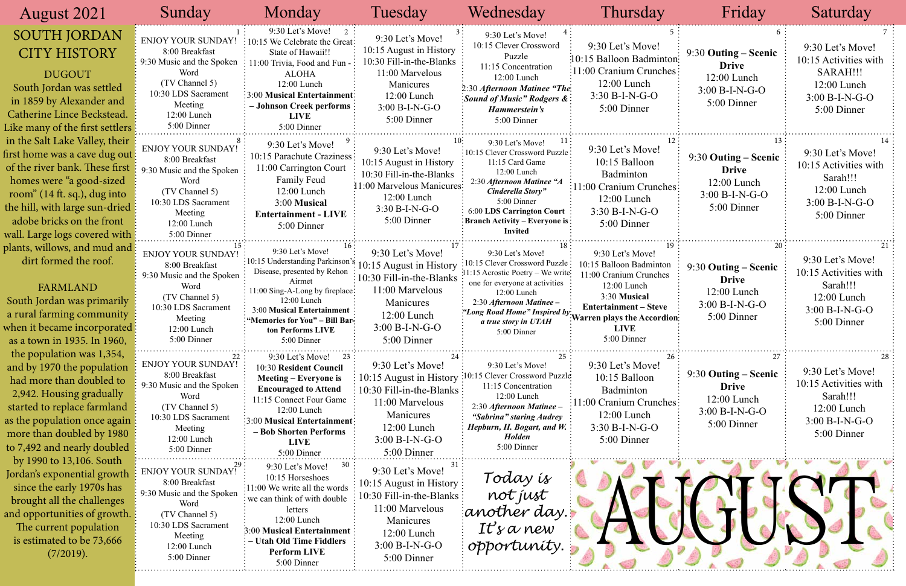| August 2021                                                                                                                                                                                                                                                                  | Sunday                                                                                                                                                               | Monday                                                                                                                                                                                                                                                 | Tuesday                                                                                                                                                                       | Wednesday                                                                                                                                                                                                                                     | Thursday                                                                                                                                                                                                 | Friday                                                                                       | Saturday                                                                                                  |
|------------------------------------------------------------------------------------------------------------------------------------------------------------------------------------------------------------------------------------------------------------------------------|----------------------------------------------------------------------------------------------------------------------------------------------------------------------|--------------------------------------------------------------------------------------------------------------------------------------------------------------------------------------------------------------------------------------------------------|-------------------------------------------------------------------------------------------------------------------------------------------------------------------------------|-----------------------------------------------------------------------------------------------------------------------------------------------------------------------------------------------------------------------------------------------|----------------------------------------------------------------------------------------------------------------------------------------------------------------------------------------------------------|----------------------------------------------------------------------------------------------|-----------------------------------------------------------------------------------------------------------|
| <b>SOUTH JORDAN</b><br><b>CITY HISTORY</b><br><b>DUGOUT</b><br>South Jordan was settled<br>in 1859 by Alexander and<br>Catherine Lince Beckstead.<br>Like many of the first settlers:                                                                                        | <b>ENJOY YOUR SUNDAY!</b><br>8:00 Breakfast<br>9:30 Music and the Spoken<br>Word<br>(TV Channel 5)<br>10:30 LDS Sacrament<br>Meeting<br>$12:00$ Lunch<br>5:00 Dinner | 9:30 Let's Move!<br>2<br>10:15 We Celebrate the Great:<br>State of Hawaii!!<br>11:00 Trivia, Food and Fun<br><b>ALOHA</b><br>12:00 Lunch<br>3:00 Musical Entertainment:<br>- Johnson Creek performs<br><b>LIVE</b><br>5:00 Dinner                      | 9:30 Let's Move!<br>10:15 August in History<br>10:30 Fill-in-the-Blanks<br>11:00 Marvelous<br>Manicures<br>$12:00$ Lunch<br>$3:00 B-I-N-G-O$<br>5:00 Dinner                   | 9:30 Let's Move!<br>10:15 Clever Crossword<br>Puzzle<br>11:15 Concentration<br>$12:00$ Lunch<br>2:30 Afternoon Matinee "The<br>Sound of Music" Rodgers &<br>Hammerstein's<br>5:00 Dinner                                                      | 9:30 Let's Move!<br>10:15 Balloon Badminton:<br>:11:00 Cranium Crunches:<br>$12:00$ Lunch<br>$3:30 B-I-N-G-O$<br>5:00 Dinner                                                                             | 9:30 Outing – Scenic<br><b>Drive</b><br>12:00 Lunch<br>$3:00 B-I-N-G-O$<br>5:00 Dinner       | 9:30 Let's Move!<br>10:15 Activities with<br>SARAH!!!<br>12:00 Lunch<br>$3:00 B-I-N-G-O$<br>5:00 Dinner   |
| in the Salt Lake Valley, their<br>first home was a cave dug out:<br>of the river bank. These first<br>homes were "a good-sized"<br>room" $(14 \text{ ft. sq.})$ , dug into<br>the hill, with large sun-dried<br>adobe bricks on the front<br>wall. Large logs covered with : | <b>ENJOY YOUR SUNDAY!</b><br>8:00 Breakfast<br>9:30 Music and the Spoken<br>Word<br>(TV Channel 5)<br>10:30 LDS Sacrament<br>Meeting<br>12:00 Lunch<br>5:00 Dinner   | 9:30 Let's Move!<br>10:15 Parachute Craziness:<br>11:00 Carrington Court<br><b>Family Feud</b><br>12:00 Lunch<br>3:00 Musical<br><b>Entertainment - LIVE</b><br>5:00 Dinner                                                                            | 9:30 Let's Move!<br>10:15 August in History<br>10:30 Fill-in-the-Blanks<br>11:00 Marvelous Manicures<br>$12:00$ Lunch<br>$3:30 B-I-N-G-O$<br>5:00 Dinner                      | 9:30 Let's Move!<br>10:15 Clever Crossword Puzzle<br>11:15 Card Game<br>12:00 Lunch<br>2:30 Afternoon Matinee "A<br>Cinderella Story"<br>5:00 Dinner<br><b>6:00 LDS Carrington Court</b><br>: Branch Activity – Everyone is<br>Invited        | 9:30 Let's Move!<br>10:15 Balloon<br>Badminton<br>1:00 Cranium Crunches<br>$12:00$ Lunch<br>$3:30 B-I-N-G-O$<br>5:00 Dinner                                                                              | $9:30$ Outing – Scenic<br><b>Drive</b><br>12:00 Lunch<br>$3:00 B-I-N-G-O$<br>5:00 Dinner     | 9:30 Let's Move!<br>10:15 Activities with<br>Sarah!!!<br>12:00 Lunch<br>$3:00 B-I-N-G-O$<br>5:00 Dinner   |
| plants, willows, and mud and<br>dirt formed the roof.<br><b>FARMLAND</b><br>South Jordan was primarily<br>a rural farming community<br>when it became incorporated:<br>as a town in 1935. In 1960,                                                                           | ENJOY YOUR SUNDAY!<br>8:00 Breakfast<br>9:30 Music and the Spoken<br>Word<br>(TV Channel 5)<br>10:30 LDS Sacrament<br>Meeting<br>$12:00$ Lunch<br>5:00 Dinner        | 9:30 Let's Move!<br>:10:15 Understanding Parkinson<br>Disease, presented by Rehon<br>Airmet<br>11:00 Sing-A-Long by fireplace:<br>12:00 Lunch<br>3:00 Musical Entertainment<br>"Memories for You" - Bill Bar-<br>ton Performs LIVE<br>5:00 Dinner      | 9:30 Let's Move!<br>10:15 August in History<br>$\frac{10:30 \text{ Fill-in-the-Blanks}}{2}$<br>11:00 Marvelous<br>Manicures<br>12:00 Lunch<br>$3:00 B-I-N-G-O$<br>5:00 Dinner | 9:30 Let's Move!<br>:10:15 Clever Crossword Puzzle:<br>11:15 Acrostic Poetry - We write:<br>one for everyone at activities<br>12:00 Lunch<br>2:30 Afternoon Matinee -<br>"Long Road Home" Inspired by:<br>a true story in UTAH<br>5:00 Dinner | 9:30 Let's Move!<br>10:15 Balloon Badminton<br>11:00 Cranium Crunches<br>12:00 Lunch<br>3:30 Musical<br><b>Entertainment – Steve</b><br><b>Warren plays the Accordion:</b><br><b>LIVE</b><br>5:00 Dinner | 9:30 Outing – Scenic<br><b>Drive</b><br>12:00 Lunch<br>$3:00 B-I-N-G-O$<br>5:00 Dinner       | 9:30 Let's Move!<br>10:15 Activities with<br>Sarah!!!<br>12:00 Lunch<br>$3:00 B-I-N-G-O$<br>5:00 Dinner   |
| the population was 1,354,<br>and by 1970 the population<br>had more than doubled to<br>2,942. Housing gradually<br>started to replace farmland<br>as the population once again<br>more than doubled by 1980<br>to 7,492 and nearly doubled                                   | <b>ENJOY YOUR SUNDAY!</b><br>8:00 Breakfast<br>9:30 Music and the Spoken<br>Word<br>(TV Channel 5)<br>10:30 LDS Sacrament<br>Meeting<br>12:00 Lunch<br>5:00 Dinner   | 9:30 Let's Move!<br>23<br>10:30 Resident Council<br>Meeting – Everyone is<br><b>Encouraged to Attend</b><br>11:15 Connect Four Game<br>12:00 Lunch<br>$\frac{1}{2}3:00$ Musical Entertainment:<br>- Bob Shorten Performs<br><b>LIVE</b><br>5:00 Dinner | 9:30 Let's Move!<br>10:15 August in History<br>10:30 Fill-in-the-Blanks :<br>11:00 Marvelous<br>Manicures<br>12:00 Lunch<br>$3:00 B-I-N-G-O$<br>5:00 Dinner                   | 9:30 Let's Move!<br>10:15 Clever Crossword Puzzle<br>11:15 Concentration<br>$12:00$ Lunch<br>2:30 Afternoon Matinee -<br>"Sabrina" staring Audrey<br>Hepburn, H. Bogart, and W.<br><b>Holden</b><br>5:00 Dinner                               | 9:30 Let's Move!<br>10:15 Balloon<br>Badminton<br>l:00 Cranium Crunches:<br>12:00 Lunch<br>$3:30 B-I-N-G-O$<br>5:00 Dinner                                                                               | 27<br>9:30 Outing – Scenic<br><b>Drive</b><br>12:00 Lunch<br>$3:00 B-I-N-G-O$<br>5:00 Dinner | 9:30 Let's Move!<br>10:15 Activities with<br>Sarah!!!<br>$12:00$ Lunch<br>$3:00 B-I-N-G-O$<br>5:00 Dinner |
| by 1990 to 13,106. South<br>Jordan's exponential growth<br>since the early 1970s has<br>brought all the challenges<br>and opportunities of growth.<br>The current population<br>is estimated to be 73,666<br>(7/2019).                                                       | <b>ENJOY YOUR SUNDAY!</b><br>8:00 Breakfast<br>9:30 Music and the Spoken<br>Word<br>(TV Channel 5)<br>10:30 LDS Sacrament<br>Meeting<br>12:00 Lunch<br>5:00 Dinner   | 9:30 Let's Move!<br>10:15 Horseshoes<br>11:00 We write all the words<br>we can think of with double<br>letters<br>12:00 Lunch<br><b>3:00 Musical Entertainment</b><br><b>Utah Old Time Fiddlers</b><br><b>Perform LIVE</b><br>5:00 Dinner              | 9:30 Let's Move!<br>10:15 August in History<br>10:30 Fill-in-the-Blanks :<br>11:00 Marvelous<br>Manicures<br>12:00 Lunch<br>$3:00 B-I-N-G-O$<br>5:00 Dinner                   | Today is<br>not just<br>another day.<br>It's a new<br>opportunity.                                                                                                                                                                            |                                                                                                                                                                                                          |                                                                                              |                                                                                                           |

| ıу                                      | Friday                                                                                         | Saturday                                                                                                        |  |  |  |
|-----------------------------------------|------------------------------------------------------------------------------------------------|-----------------------------------------------------------------------------------------------------------------|--|--|--|
| 5<br>e!<br>ninton<br>nches<br>Э         | 6<br>9:30 Outing – Scenic<br><b>Drive</b><br>12:00 Lunch<br>$3:00 B-I-N-G-O$<br>5:00 Dinner    | 7<br>9:30 Let's Move!<br>10:15 Activities with<br>SARAH!!!<br>12:00 Lunch<br>$3:00 B-I-N-G-O$<br>5:00 Dinner    |  |  |  |
| 12<br>e!<br>nches<br>∩                  | 13<br>9:30 Outing – Scenic<br><b>Drive</b><br>12:00 Lunch<br>$3:00 B-I-N-G-O$<br>5:00 Dinner   | 14<br>9:30 Let's Move!<br>10:15 Activities with<br>Sarah!!!<br>12:00 Lunch<br>$3:00 B-I-N-G-O$<br>5:00 Dinner   |  |  |  |
| 19<br>inton<br>iches<br>teve<br>ordion: | 20<br>9:30 Outing – Scenic<br><b>Drive</b><br>$12:00$ Lunch<br>$3:00 B-I-N-G-O$<br>5:00 Dinner | 21<br>9:30 Let's Move!<br>10:15 Activities with<br>Sarah!!!<br>12:00 Lunch<br>$3:00 B-I-N-G-O$<br>5:00 Dinner   |  |  |  |
| 26<br>e!<br>nches                       | 27<br>9:30 Outing – Scenic<br><b>Drive</b><br>$12:00$ Lunch<br>$3:00 B-I-N-G-O$<br>5:00 Dinner | 28<br>9:30 Let's Move!<br>10:15 Activities with<br>Sarah!!!<br>$12:00$ Lunch<br>$3:00 B-I-N-G-O$<br>5:00 Dinner |  |  |  |
|                                         |                                                                                                |                                                                                                                 |  |  |  |